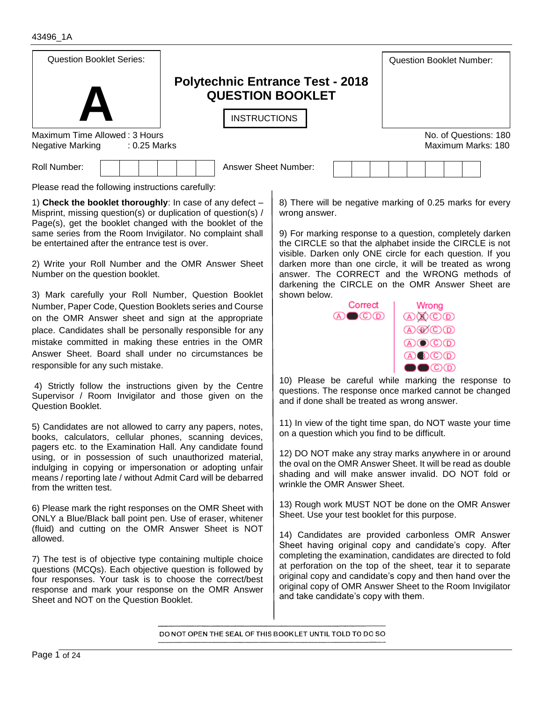6) Please mark the right responses on the OMR Sheet with ONLY a Blue/Black ball point pen. Use of eraser, whitener (fluid) and cutting on the OMR Answer Sheet is NOT allowed. 7) The test is of objective type containing multiple choice questions (MCQs). Each objective question is followed by four responses. Your task is to choose the correct/best response and mark your response on the OMR Answer Sheet and NOT on the Question Booklet.

5) Candidates are not allowed to carry any papers, notes, books, calculators, cellular phones, scanning devices, pagers etc. to the Examination Hall. Any candidate found using, or in possession of such unauthorized material, indulging in copying or impersonation or adopting unfair means / reporting late / without Admit Card will be debarred

Page 1 of 24

from the written test.

4) Strictly follow the instructions given by the Centre Supervisor / Room Invigilator and those given on the Question Booklet.

Number, Paper Code, Question Booklets series and Course on the OMR Answer sheet and sign at the appropriate place. Candidates shall be personally responsible for any mistake committed in making these entries in the OMR Answer Sheet. Board shall under no circumstances be

2) Write your Roll Number and the OMR Answer Sheet Number on the question booklet.

1) **Check the booklet thoroughly**: In case of any defect – Misprint, missing question(s) or duplication of question(s) / Page(s), get the booklet changed with the booklet of the same series from the Room Invigilator. No complaint shall

Please read the following instructions carefully:

3) Mark carefully your Roll Number, Question Booklet

be entertained after the entrance test is over.

Roll Number:  $\begin{vmatrix} 1 & 1 \\ 1 & 1 \end{vmatrix}$  | Answer Sheet Number:

8) There will be negative marking of 0.25 marks for every

9) For marking response to a question, completely darken the CIRCLE so that the alphabet inside the CIRCLE is not visible. Darken only ONE circle for each question. If you darken more than one circle, it will be treated as wrong answer. The CORRECT and the WRONG methods of darkening the CIRCLE on the OMR Answer Sheet are

Correct

 $\mathbb{A}\bullet\mathbb{C}\oplus\mathbb{D}$ 

10) Please be careful while marking the response to questions. The response once marked cannot be changed and if done shall be treated as wrong answer.

11) In view of the tight time span, do NOT waste your time on a question which you find to be difficult.

12) DO NOT make any stray marks anywhere in or around the oval on the OMR Answer Sheet. It will be read as double shading and will make answer invalid. DO NOT fold or wrinkle the OMR Answer Sheet.

13) Rough work MUST NOT be done on the OMR Answer Sheet. Use your test booklet for this purpose.

14) Candidates are provided carbonless OMR Answer Sheet having original copy and candidate's copy. After completing the examination, candidates are directed to fold at perforation on the top of the sheet, tear it to separate original copy and candidate's copy and then hand over the original copy of OMR Answer Sheet to the Room Invigilator and take candidate's copy with them.

DO NOT OPEN THE SEAL OF THIS BOOKLET UNTIL TOLD TO DO SO





responsible for any such mistake.

43496\_1A

I



Maximum Time Allowed : 3 Hours No. of Questions: 180 **INSTRUCTIONS** 

Negative Marking and the CO25 Marks Maximum Marks: 180

wrong answer.

shown below.

**Polytechnic Entrance Test - 2018 QUESTION BOOKLET**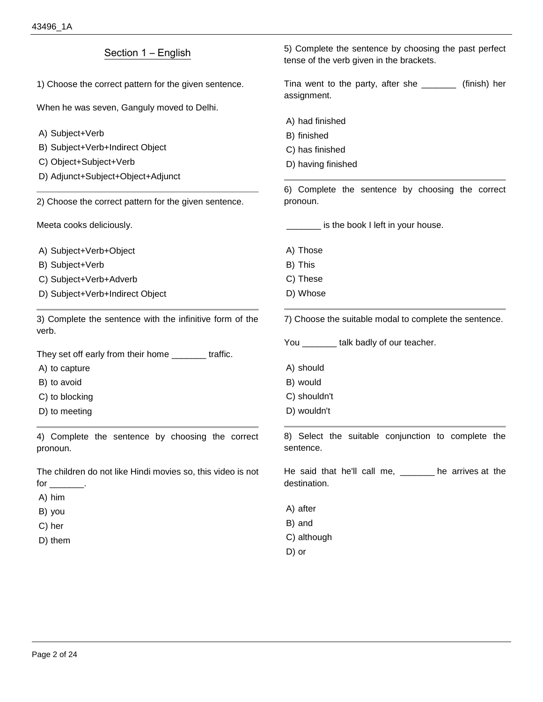| Section 1 – English                                                                    | 5) Complete the sentence by choosing the past perfect<br>tense of the verb given in the brackets. |  |
|----------------------------------------------------------------------------------------|---------------------------------------------------------------------------------------------------|--|
| 1) Choose the correct pattern for the given sentence.                                  | Tina went to the party, after she _______<br>(finish) her<br>assignment.                          |  |
| When he was seven, Ganguly moved to Delhi.                                             |                                                                                                   |  |
|                                                                                        | A) had finished                                                                                   |  |
| A) Subject+Verb                                                                        | B) finished                                                                                       |  |
| B) Subject+Verb+Indirect Object                                                        | C) has finished                                                                                   |  |
| C) Object+Subject+Verb                                                                 | D) having finished                                                                                |  |
| D) Adjunct+Subject+Object+Adjunct                                                      |                                                                                                   |  |
| 2) Choose the correct pattern for the given sentence.                                  | 6) Complete the sentence by choosing the correct<br>pronoun.                                      |  |
| Meeta cooks deliciously.                                                               | is the book I left in your house.                                                                 |  |
| A) Subject+Verb+Object                                                                 | A) Those                                                                                          |  |
| B) Subject+Verb                                                                        | B) This                                                                                           |  |
| C) Subject+Verb+Adverb                                                                 | C) These                                                                                          |  |
| D) Subject+Verb+Indirect Object                                                        | D) Whose                                                                                          |  |
| 3) Complete the sentence with the infinitive form of the<br>verb.                      | 7) Choose the suitable modal to complete the sentence.                                            |  |
|                                                                                        | You _______ talk badly of our teacher.                                                            |  |
| They set off early from their home ________ traffic.                                   |                                                                                                   |  |
| A) to capture                                                                          | A) should                                                                                         |  |
| B) to avoid                                                                            | B) would                                                                                          |  |
| C) to blocking                                                                         | C) shouldn't                                                                                      |  |
| D) to meeting                                                                          | D) wouldn't                                                                                       |  |
| 4) Complete the sentence by choosing the correct<br>pronoun.                           | 8) Select the suitable conjunction to complete the<br>sentence.                                   |  |
| The children do not like Hindi movies so, this video is not<br>for ________.<br>A) him | He said that he'll call me, ______ he arrives at the<br>destination.                              |  |
|                                                                                        | A) after                                                                                          |  |
| B) you                                                                                 | B) and                                                                                            |  |
| C) her                                                                                 | C) although                                                                                       |  |
| D) them                                                                                |                                                                                                   |  |

D) or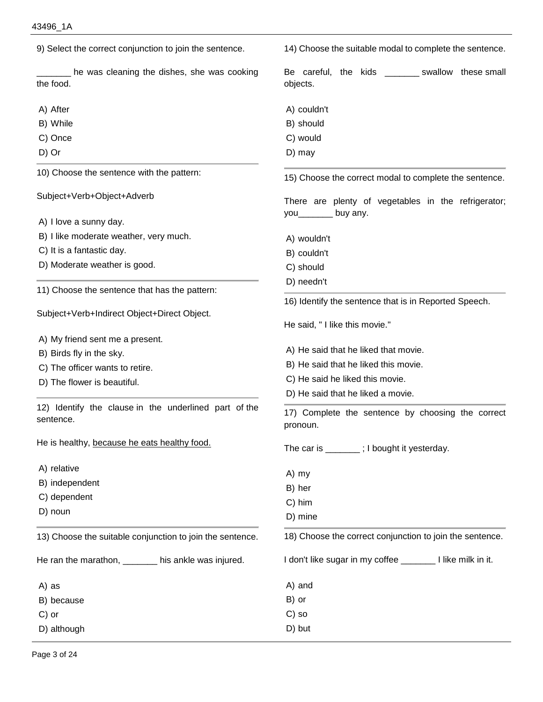9) Select the correct conjunction to join the sentence. he was cleaning the dishes, she was cooking the food. A) After B) While C) Once D) Or 10) Choose the sentence with the pattern: Subject+Verb+Object+Adverb A) I love a sunny day. B) I like moderate weather, very much. C) It is a fantastic day. D) Moderate weather is good. 11) Choose the sentence that has the pattern: Subject+Verb+Indirect Object+Direct Object. A) My friend sent me a present. B) Birds fly in the sky. C) The officer wants to retire. D) The flower is beautiful. 12) Identify the clause in the underlined part of the sentence. He is healthy, because he eats healthy food. A) relative B) independent C) dependent D) noun 13) Choose the suitable conjunction to join the sentence. He ran the marathon, \_\_\_\_\_\_\_ his ankle was injured. A) as B) because C) or D) although 14) Choose the suitable modal to complete the sentence. Be careful, the kids swallow these small objects. A) couldn't B) should C) would D) may 15) Choose the correct modal to complete the sentence. There are plenty of vegetables in the refrigerator; you\_\_\_\_\_\_\_ buy any. A) wouldn't B) couldn't C) should D) needn't 16) Identify the sentence that is in Reported Speech. He said, " I like this movie." A) He said that he liked that movie. B) He said that he liked this movie. C) He said he liked this movie. D) He said that he liked a movie. 17) Complete the sentence by choosing the correct pronoun. The car is \_\_\_\_\_\_\_ ; I bought it yesterday. A) my B) her C) him D) mine 18) Choose the correct conjunction to join the sentence. I don't like sugar in my coffee \_\_\_\_\_\_\_ I like milk in it. A) and B) or C) so D) but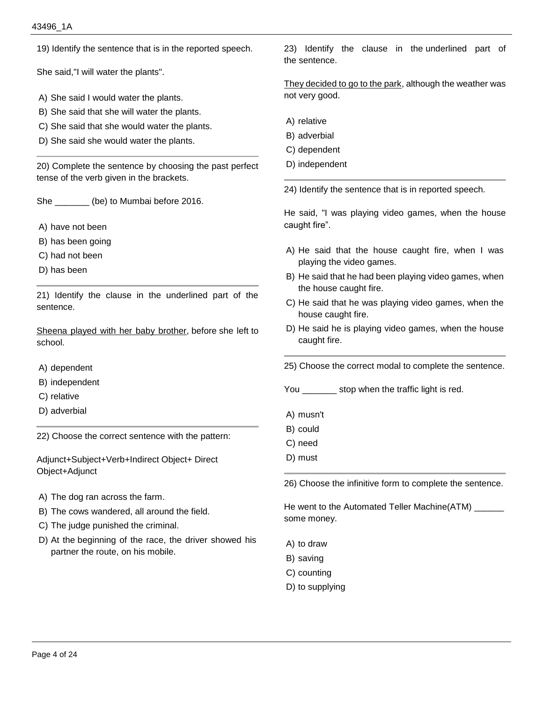19) Identify the sentence that is in the reported speech.

She said,"I will water the plants".

- A) She said I would water the plants.
- B) She said that she will water the plants.
- C) She said that she would water the plants.
- D) She said she would water the plants.

20) Complete the sentence by choosing the past perfect tense of the verb given in the brackets.

She \_\_\_\_\_\_\_ (be) to Mumbai before 2016.

- A) have not been
- B) has been going
- C) had not been
- D) has been

21) Identify the clause in the underlined part of the sentence.

Sheena played with her baby brother, before she left to school.

- A) dependent
- B) independent
- C) relative
- D) adverbial

22) Choose the correct sentence with the pattern:

Adjunct+Subject+Verb+Indirect Object+ Direct Object+Adjunct

- A) The dog ran across the farm.
- B) The cows wandered, all around the field.
- C) The judge punished the criminal.
- D) At the beginning of the race, the driver showed his partner the route, on his mobile.

23) Identify the clause in the underlined part of the sentence.

They decided to go to the park, although the weather was not very good.

- A) relative
- B) adverbial
- C) dependent
- D) independent

24) Identify the sentence that is in reported speech.

He said, "I was playing video games, when the house caught fire".

- A) He said that the house caught fire, when I was playing the video games.
- B) He said that he had been playing video games, when the house caught fire.
- C) He said that he was playing video games, when the house caught fire.
- D) He said he is playing video games, when the house caught fire.
- 25) Choose the correct modal to complete the sentence.
- You \_\_\_\_\_\_\_\_ stop when the traffic light is red.
- A) musn't
- B) could
- C) need
- D) must

26) Choose the infinitive form to complete the sentence.

He went to the Automated Teller Machine(ATM) \_\_\_\_\_\_ some money.

- A) to draw
- B) saving
- C) counting
- D) to supplying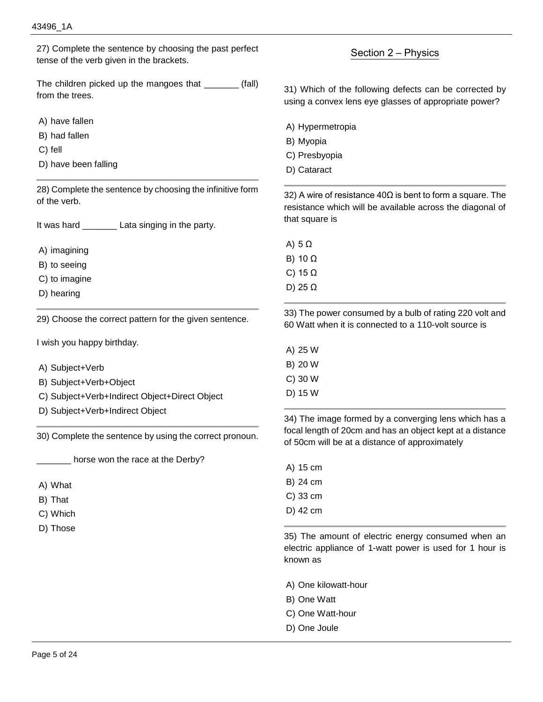27) Complete the sentence by choosing the past perfect tense of the verb given in the brackets.

The children picked up the mangoes that (fall) from the trees.

A) have fallen

B) had fallen

- C) fell
- D) have been falling

28) Complete the sentence by choosing the infinitive form of the verb.

It was hard **Lata singing in the party.** 

A) imagining

B) to seeing

C) to imagine

D) hearing

29) Choose the correct pattern for the given sentence.

I wish you happy birthday.

A) Subject+Verb

- B) Subject+Verb+Object
- C) Subject+Verb+Indirect Object+Direct Object
- D) Subject+Verb+Indirect Object

30) Complete the sentence by using the correct pronoun.

horse won the race at the Derby?

- A) What
- B) That
- C) Which
- D) Those

## Section 2 – Physics

31) Which of the following defects can be corrected by using a convex lens eye glasses of appropriate power?

- A) Hypermetropia
- B) Myopia
- C) Presbyopia
- D) Cataract

32) A wire of resistance 40Ω is bent to form a square. The resistance which will be available across the diagonal of that square is

A) 5 Ω

B) 10 Ω

C) 15 Ω

D) 25 Ω

33) The power consumed by a bulb of rating 220 volt and 60 Watt when it is connected to a 110-volt source is

A) 25 W B) 20 W

C) 30 W

D) 15 W

34) The image formed by a converging lens which has a focal length of 20cm and has an object kept at a distance of 50cm will be at a distance of approximately

A) 15 cm

B) 24 cm

- C) 33 cm
- D) 42 cm

35) The amount of electric energy consumed when an electric appliance of 1-watt power is used for 1 hour is known as

- A) One kilowatt-hour
- B) One Watt
- C) One Watt-hour
- D) One Joule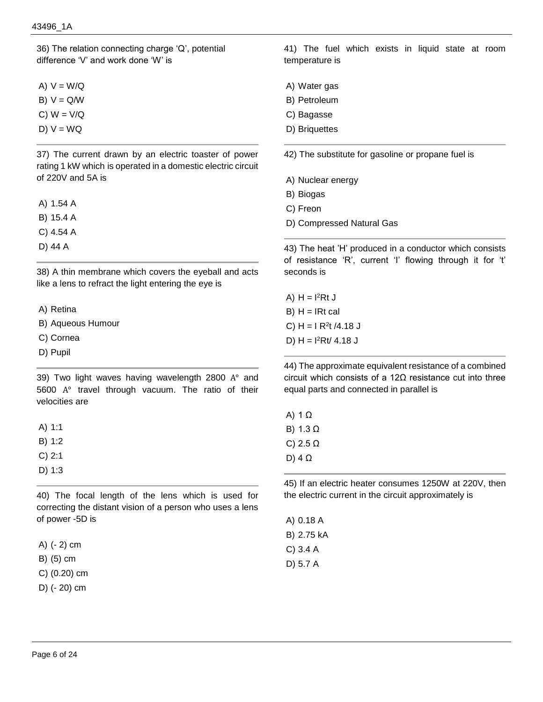36) The relation connecting charge 'Q', potential difference 'V' and work done 'W' is

- A)  $V = W/Q$
- $B) V = Q/W$
- $C)$  W =  $V/Q$
- $D) V = WQ$

37) The current drawn by an electric toaster of power rating 1 kW which is operated in a domestic electric circuit of 220V and 5A is

- A) 1.54 A
- B) 15.4 A
- C) 4.54 A
- D) 44 A

38) A thin membrane which covers the eyeball and acts like a lens to refract the light entering the eye is

A) Retina

B) Aqueous Humour

- C) Cornea
- D) Pupil

39) Two light waves having wavelength 2800 A° and 5600 A° travel through vacuum. The ratio of their velocities are

A) 1:1

- B) 1:2
- C) 2:1
- D) 1:3

40) The focal length of the lens which is used for correcting the distant vision of a person who uses a lens of power -5D is

A) (- 2) cm

B) (5) cm

C) (0.20) cm

D) (- 20) cm

41) The fuel which exists in liquid state at room temperature is

- A) Water gas
- B) Petroleum
- C) Bagasse
- D) Briquettes

42) The substitute for gasoline or propane fuel is

- A) Nuclear energy
- B) Biogas
- C) Freon
- D) Compressed Natural Gas

43) The heat 'H' produced in a conductor which consists of resistance 'R', current 'I' flowing through it for 't' seconds is

A)  $H = I<sup>2</sup>Rt J$  $B) H = IRt$  cal C)  $H = I R<sup>2</sup>t / 4.18 J$ D)  $H = 12Rt/4.18 J$ 

44) The approximate equivalent resistance of a combined circuit which consists of a 12Ω resistance cut into three equal parts and connected in parallel is

| A) 1 Ω   |  |
|----------|--|
| B) 1.3 Ω |  |
| C) 2.5 Ω |  |
| D) 4 Ω   |  |
|          |  |

45) If an electric heater consumes 1250W at 220V, then the electric current in the circuit approximately is

A) 0.18 A B) 2.75 kA C) 3.4 A D) 5.7 A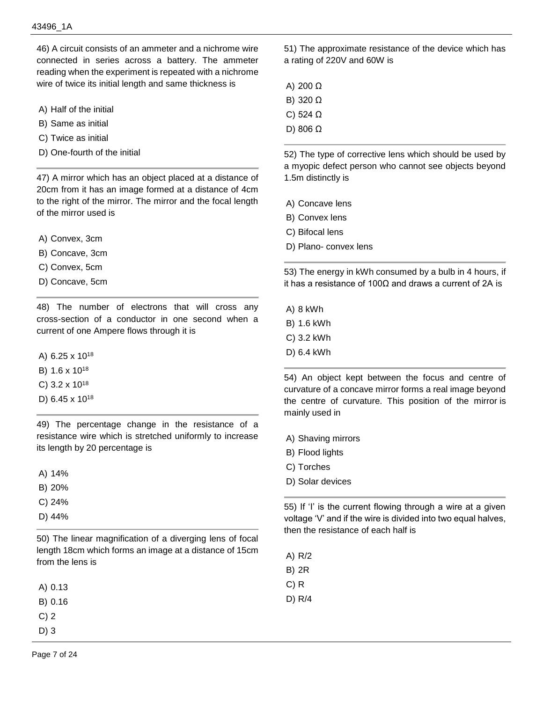46) A circuit consists of an ammeter and a nichrome wire connected in series across a battery. The ammeter reading when the experiment is repeated with a nichrome wire of twice its initial length and same thickness is

- A) Half of the initial
- B) Same as initial
- C) Twice as initial
- D) One-fourth of the initial

47) A mirror which has an object placed at a distance of 20cm from it has an image formed at a distance of 4cm to the right of the mirror. The mirror and the focal length of the mirror used is

- A) Convex, 3cm
- B) Concave, 3cm
- C) Convex, 5cm
- D) Concave, 5cm

48) The number of electrons that will cross any cross-section of a conductor in one second when a current of one Ampere flows through it is

A) 6.25 x 10<sup>18</sup>

- B) 1.6 x 10<sup>18</sup>
- C) 3.2 x 10<sup>18</sup>
- D) 6.45 x 10<sup>18</sup>

49) The percentage change in the resistance of a resistance wire which is stretched uniformly to increase its length by 20 percentage is

A) 14%

- B) 20%
- C) 24%
- D) 44%

50) The linear magnification of a diverging lens of focal length 18cm which forms an image at a distance of 15cm from the lens is

| A) 0.13 |  |
|---------|--|
|---------|--|

- B) 0.16
- C) 2
- D) 3

51) The approximate resistance of the device which has a rating of 220V and 60W is

- A) 200 Ω
- B) 320 Ω
- C) 524 Ω
- D) 806 Ω

52) The type of corrective lens which should be used by a myopic defect person who cannot see objects beyond 1.5m distinctly is

- A) Concave lens
- B) Convex lens
- C) Bifocal lens
- D) Plano- convex lens

53) The energy in kWh consumed by a bulb in 4 hours, if it has a resistance of 100Ω and draws a current of 2A is

- A) 8 kWh
- B) 1.6 kWh
- C) 3.2 kWh
- D) 6.4 kWh

54) An object kept between the focus and centre of curvature of a concave mirror forms a real image beyond the centre of curvature. This position of the mirror is mainly used in

- A) Shaving mirrors
- B) Flood lights
- C) Torches
- D) Solar devices

55) If 'I' is the current flowing through a wire at a given voltage 'V' and if the wire is divided into two equal halves, then the resistance of each half is

A) R/2

- B) 2R
- C) R
- D) R/4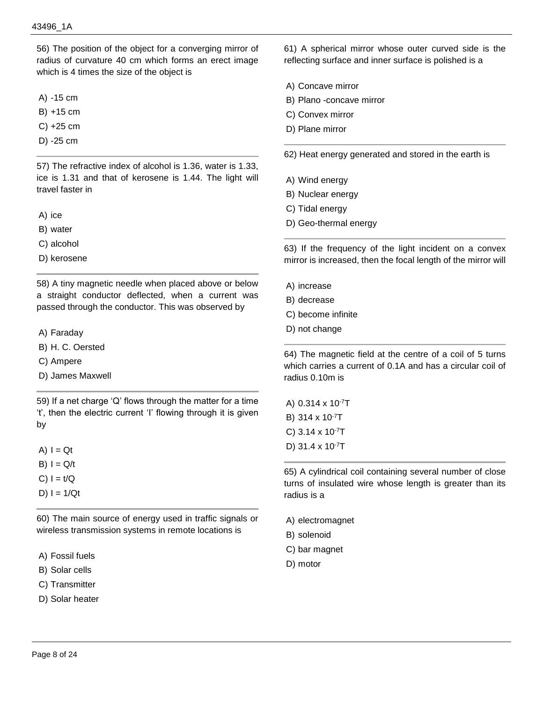56) The position of the object for a converging mirror of radius of curvature 40 cm which forms an erect image which is 4 times the size of the object is

A) -15 cm

B) +15 cm

C) +25 cm

D) -25 cm

57) The refractive index of alcohol is 1.36, water is 1.33, ice is 1.31 and that of kerosene is 1.44. The light will travel faster in

A) ice

B) water

C) alcohol

D) kerosene

58) A tiny magnetic needle when placed above or below a straight conductor deflected, when a current was passed through the conductor. This was observed by

A) Faraday

B) H. C. Oersted

C) Ampere

D) James Maxwell

59) If a net charge 'Q' flows through the matter for a time 't', then the electric current 'I' flowing through it is given by

 $A) I = Qt$ 

 $B)$   $I = Q/t$ 

- $C$ )  $I = t/Q$
- D)  $I = 1/Qt$

60) The main source of energy used in traffic signals or wireless transmission systems in remote locations is

- A) Fossil fuels
- B) Solar cells
- C) Transmitter

D) Solar heater

61) A spherical mirror whose outer curved side is the reflecting surface and inner surface is polished is a

- A) Concave mirror
- B) Plano -concave mirror
- C) Convex mirror
- D) Plane mirror

62) Heat energy generated and stored in the earth is

- A) Wind energy
- B) Nuclear energy
- C) Tidal energy
- D) Geo-thermal energy

63) If the frequency of the light incident on a convex mirror is increased, then the focal length of the mirror will

- A) increase
- B) decrease
- C) become infinite
- D) not change

64) The magnetic field at the centre of a coil of 5 turns which carries a current of 0.1A and has a circular coil of radius 0.10m is

A) 0.314 x 10-7T B) 314 x 10-7T C) 3.14 x 10-7T D) 31.4 x 10-7T

65) A cylindrical coil containing several number of close turns of insulated wire whose length is greater than its radius is a

A) electromagnet

- B) solenoid
- C) bar magnet
- D) motor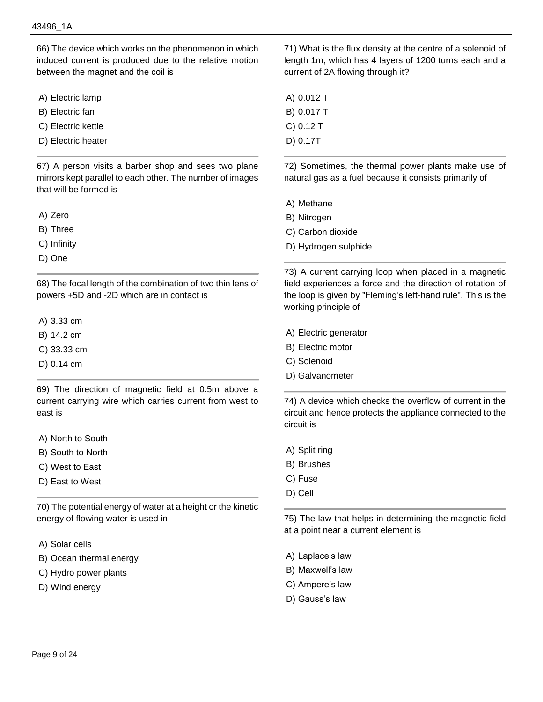66) The device which works on the phenomenon in which induced current is produced due to the relative motion between the magnet and the coil is

- A) Electric lamp
- B) Electric fan
- C) Electric kettle
- D) Electric heater

67) A person visits a barber shop and sees two plane mirrors kept parallel to each other. The number of images that will be formed is

- A) Zero
- B) Three
- C) Infinity
- D) One

68) The focal length of the combination of two thin lens of powers +5D and -2D which are in contact is

- A) 3.33 cm
- B) 14.2 cm
- C) 33.33 cm
- D) 0.14 cm

69) The direction of magnetic field at 0.5m above a current carrying wire which carries current from west to east is

- A) North to South
- B) South to North
- C) West to East
- D) East to West

70) The potential energy of water at a height or the kinetic energy of flowing water is used in

- A) Solar cells
- B) Ocean thermal energy
- C) Hydro power plants
- D) Wind energy

71) What is the flux density at the centre of a solenoid of length 1m, which has 4 layers of 1200 turns each and a current of 2A flowing through it?

A) 0.012 T B) 0.017 T C) 0.12 T D) 0.17T

72) Sometimes, the thermal power plants make use of natural gas as a fuel because it consists primarily of

- A) Methane
- B) Nitrogen
- C) Carbon dioxide
- D) Hydrogen sulphide

73) A current carrying loop when placed in a magnetic field experiences a force and the direction of rotation of the loop is given by "Fleming's left-hand rule". This is the working principle of

- A) Electric generator
- B) Electric motor
- C) Solenoid
- D) Galvanometer

74) A device which checks the overflow of current in the circuit and hence protects the appliance connected to the circuit is

- A) Split ring
- B) Brushes
- C) Fuse
- D) Cell

75) The law that helps in determining the magnetic field at a point near a current element is

- A) Laplace's law
- B) Maxwell's law
- C) Ampere's law
- D) Gauss's law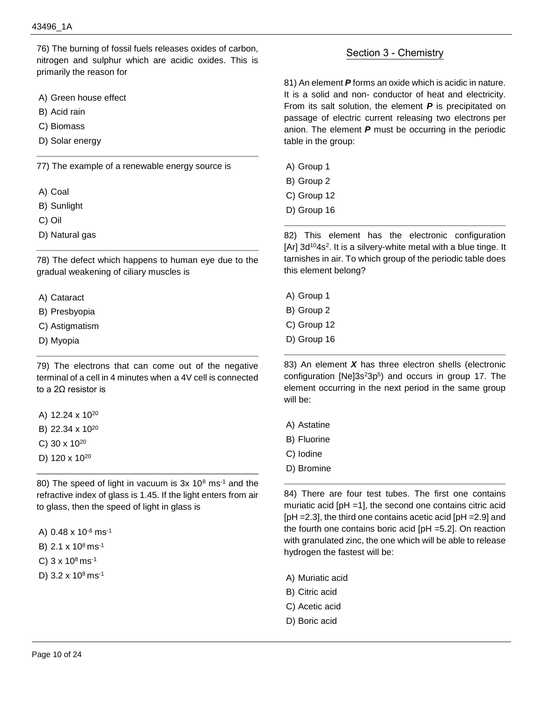76) The burning of fossil fuels releases oxides of carbon, nitrogen and sulphur which are acidic oxides. This is primarily the reason for

- A) Green house effect
- B) Acid rain
- C) Biomass
- D) Solar energy

77) The example of a renewable energy source is

- A) Coal
- B) Sunlight
- C) Oil
- D) Natural gas

78) The defect which happens to human eye due to the gradual weakening of ciliary muscles is

- A) Cataract
- B) Presbyopia
- C) Astigmatism
- D) Myopia

79) The electrons that can come out of the negative terminal of a cell in 4 minutes when a 4V cell is connected to a 2Ω resistor is

- A) 12.24 x 10<sup>20</sup>
- B) 22.34 x 10<sup>20</sup>
- C) 30 x 10<sup>20</sup>
- D) 120 x 10<sup>20</sup>

80) The speed of light in vacuum is 3x 10<sup>8</sup> ms<sup>-1</sup> and the refractive index of glass is 1.45. If the light enters from air to glass, then the speed of light in glass is

- A) 0.48 x 10-8 ms-1
- B) 2.1 x 10<sup>8</sup>ms-1
- C)  $3 \times 10^8$  ms<sup>-1</sup>
- D)  $3.2 \times 10^8$  ms<sup>-1</sup>

## Section 3 - Chemistry

81) An element *P* forms an oxide which is acidic in nature. It is a solid and non- conductor of heat and electricity. From its salt solution, the element *P* is precipitated on passage of electric current releasing two electrons per anion. The element *P* must be occurring in the periodic table in the group:

- A) Group 1
- B) Group 2
- C) Group 12
- D) Group 16

82) This element has the electronic configuration [Ar] 3d<sup>10</sup>4s<sup>2</sup>. It is a silvery-white metal with a blue tinge. It tarnishes in air. To which group of the periodic table does this element belong?

- A) Group 1
- B) Group 2
- C) Group 12
- D) Group 16

83) An element *X* has three electron shells (electronic configuration  $[Ne]3s^23p^5$ ) and occurs in group 17. The element occurring in the next period in the same group will be:

- A) Astatine
- B) Fluorine
- C) Iodine
- D) Bromine

84) There are four test tubes. The first one contains muriatic acid [pH =1], the second one contains citric acid [pH =2.3], the third one contains acetic acid [pH =2.9] and the fourth one contains boric acid [pH =5.2]. On reaction with granulated zinc, the one which will be able to release hydrogen the fastest will be:

- A) Muriatic acid
- B) Citric acid
- C) Acetic acid
- D) Boric acid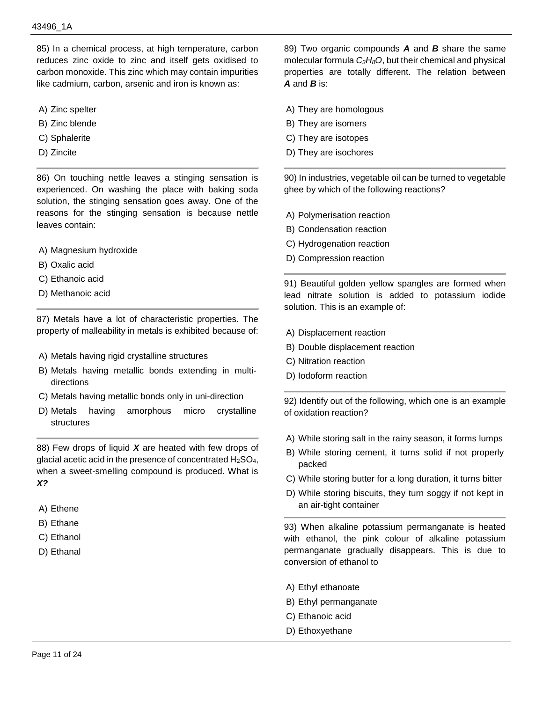85) In a chemical process, at high temperature, carbon reduces zinc oxide to zinc and itself gets oxidised to carbon monoxide. This zinc which may contain impurities like cadmium, carbon, arsenic and iron is known as:

- A) Zinc spelter
- B) Zinc blende
- C) Sphalerite
- D) Zincite

86) On touching nettle leaves a stinging sensation is experienced. On washing the place with baking soda solution, the stinging sensation goes away. One of the reasons for the stinging sensation is because nettle leaves contain:

- A) Magnesium hydroxide
- B) Oxalic acid
- C) Ethanoic acid
- D) Methanoic acid

87) Metals have a lot of characteristic properties. The property of malleability in metals is exhibited because of:

- A) Metals having rigid crystalline structures
- B) Metals having metallic bonds extending in multidirections
- C) Metals having metallic bonds only in uni-direction
- D) Metals having amorphous micro crystalline structures

88) Few drops of liquid *X* are heated with few drops of glacial acetic acid in the presence of concentrated  $H_2SO_4$ , when a sweet-smelling compound is produced. What is *X?*

- A) Ethene
- B) Ethane
- C) Ethanol
- D) Ethanal

89) Two organic compounds *A* and *B* share the same molecular formula *C3H8O*, but their chemical and physical properties are totally different. The relation between *A* and *B* is:

- A) They are homologous
- B) They are isomers
- C) They are isotopes
- D) They are isochores

90) In industries, vegetable oil can be turned to vegetable ghee by which of the following reactions?

- A) Polymerisation reaction
- B) Condensation reaction
- C) Hydrogenation reaction
- D) Compression reaction

91) Beautiful golden yellow spangles are formed when lead nitrate solution is added to potassium iodide solution. This is an example of:

- A) Displacement reaction
- B) Double displacement reaction
- C) Nitration reaction
- D) Iodoform reaction

92) Identify out of the following, which one is an example of oxidation reaction?

- A) While storing salt in the rainy season, it forms lumps
- B) While storing cement, it turns solid if not properly packed
- C) While storing butter for a long duration, it turns bitter
- D) While storing biscuits, they turn soggy if not kept in an air-tight container

93) When alkaline potassium permanganate is heated with ethanol, the pink colour of alkaline potassium permanganate gradually disappears. This is due to conversion of ethanol to

- A) Ethyl ethanoate
- B) Ethyl permanganate
- C) Ethanoic acid
- D) Ethoxyethane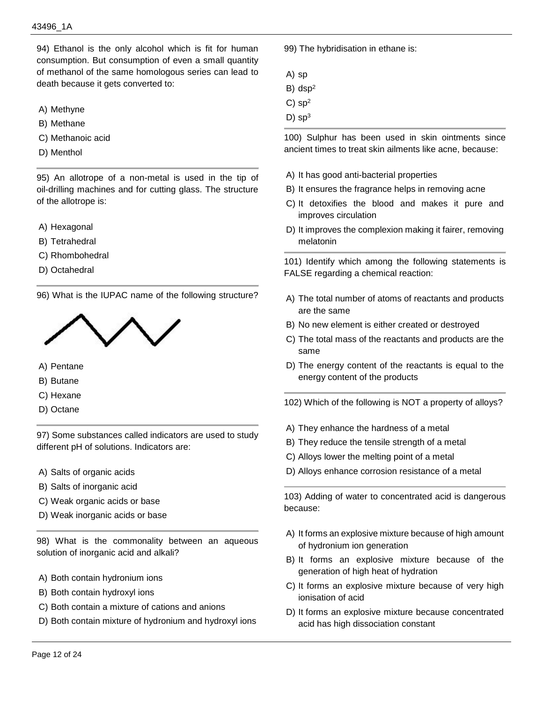94) Ethanol is the only alcohol which is fit for human consumption. But consumption of even a small quantity of methanol of the same homologous series can lead to death because it gets converted to:

- A) Methyne
- B) Methane
- C) Methanoic acid
- D) Menthol

95) An allotrope of a non-metal is used in the tip of oil-drilling machines and for cutting glass. The structure of the allotrope is:

- A) Hexagonal
- B) Tetrahedral
- C) Rhombohedral
- D) Octahedral

96) What is the IUPAC name of the following structure?



- A) Pentane
- B) Butane
- C) Hexane
- D) Octane

97) Some substances called indicators are used to study different pH of solutions. Indicators are:

- A) Salts of organic acids
- B) Salts of inorganic acid
- C) Weak organic acids or base
- D) Weak inorganic acids or base

98) What is the commonality between an aqueous solution of inorganic acid and alkali?

- A) Both contain hydronium ions
- B) Both contain hydroxyl ions
- C) Both contain a mixture of cations and anions
- D) Both contain mixture of hydronium and hydroxyl ions

99) The hybridisation in ethane is:

- A) sp
- B) dsp<sup>2</sup>
- $C$ ) sp<sup>2</sup>
- $D)$  sp<sup>3</sup>

100) Sulphur has been used in skin ointments since ancient times to treat skin ailments like acne, because:

- A) It has good anti-bacterial properties
- B) It ensures the fragrance helps in removing acne
- C) It detoxifies the blood and makes it pure and improves circulation
- D) It improves the complexion making it fairer, removing melatonin

101) Identify which among the following statements is FALSE regarding a chemical reaction:

- A) The total number of atoms of reactants and products are the same
- B) No new element is either created or destroyed
- C) The total mass of the reactants and products are the same
- D) The energy content of the reactants is equal to the energy content of the products
- 102) Which of the following is NOT a property of alloys?
- A) They enhance the hardness of a metal
- B) They reduce the tensile strength of a metal
- C) Alloys lower the melting point of a metal
- D) Alloys enhance corrosion resistance of a metal

103) Adding of water to concentrated acid is dangerous because:

- A) It forms an explosive mixture because of high amount of hydronium ion generation
- B) It forms an explosive mixture because of the generation of high heat of hydration
- C) It forms an explosive mixture because of very high ionisation of acid
- D) It forms an explosive mixture because concentrated acid has high dissociation constant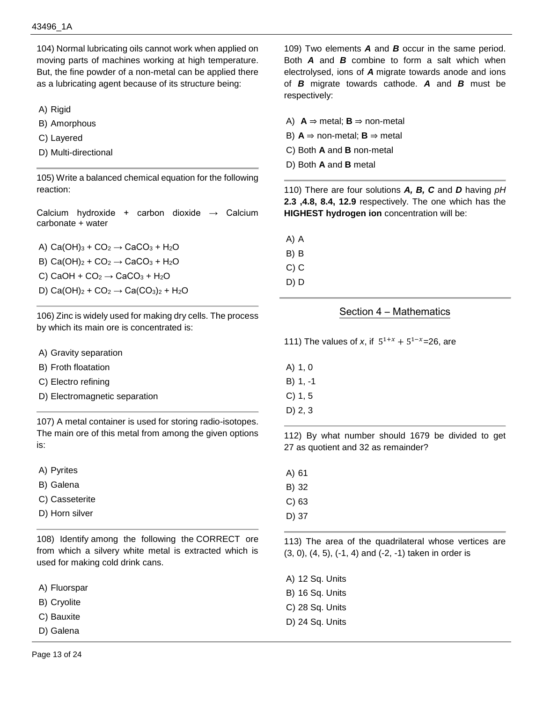104) Normal lubricating oils cannot work when applied on moving parts of machines working at high temperature. But, the fine powder of a non-metal can be applied there as a lubricating agent because of its structure being:

A) Rigid

- B) Amorphous
- C) Layered
- D) Multi-directional

105) Write a balanced chemical equation for the following reaction:

Calcium hydroxide + carbon dioxide  $\rightarrow$  Calcium carbonate + water

A)  $Ca(OH)<sub>3</sub> + CO<sub>2</sub> \rightarrow CaCO<sub>3</sub> + H<sub>2</sub>O$ B) Ca(OH)<sub>2</sub> + CO<sub>2</sub>  $\rightarrow$  CaCO<sub>3</sub> + H<sub>2</sub>O C) CaOH +  $CO<sub>2</sub> \rightarrow$  CaCO<sub>3</sub> + H<sub>2</sub>O D) Ca(OH)<sub>2</sub> + CO<sub>2</sub> → Ca(CO<sub>3</sub>)<sub>2</sub> + H<sub>2</sub>O

106) Zinc is widely used for making dry cells. The process by which its main ore is concentrated is:

- A) Gravity separation
- B) Froth floatation
- C) Electro refining
- D) Electromagnetic separation

107) A metal container is used for storing radio-isotopes. The main ore of this metal from among the given options is:

- A) Pyrites
- B) Galena
- C) Casseterite
- D) Horn silver

108) Identify among the following the CORRECT ore from which a silvery white metal is extracted which is used for making cold drink cans.

- A) Fluorspar
- B) Cryolite
- C) Bauxite
- D) Galena

109) Two elements *A* and *B* occur in the same period. Both *A* and *B* combine to form a salt which when electrolysed, ions of *A* migrate towards anode and ions of *B* migrate towards cathode. *A* and *B* must be respectively:

- A)  $A$  ⇒ metal;  $B$  ⇒ non-metal
- B)  $A \Rightarrow$  non-metal;  $B \Rightarrow$  metal
- C) Both **A** and **B** non-metal
- D) Both **A** and **B** metal

110) There are four solutions *A, B, C* and *D* having *pH* **2.3 ,4.8, 8.4, 12.9** respectively. The one which has the **HIGHEST hydrogen ion** concentration will be:

- A) A B) B C) C
- D) D

## Section 4 – Mathematics

111) The values of *x*, if  $5^{1+x} + 5^{1-x} = 26$ , are

- A) 1, 0
- B) 1, -1 C) 1, 5
- 
- D) 2, 3

112) By what number should 1679 be divided to get 27 as quotient and 32 as remainder?

- A) 61
- B) 32
- C) 63
- D) 37

113) The area of the quadrilateral whose vertices are (3, 0), (4, 5), (-1, 4) and (-2, -1) taken in order is

- A) 12 Sq. Units B) 16 Sq. Units C) 28 Sq. Units
- D) 24 Sq. Units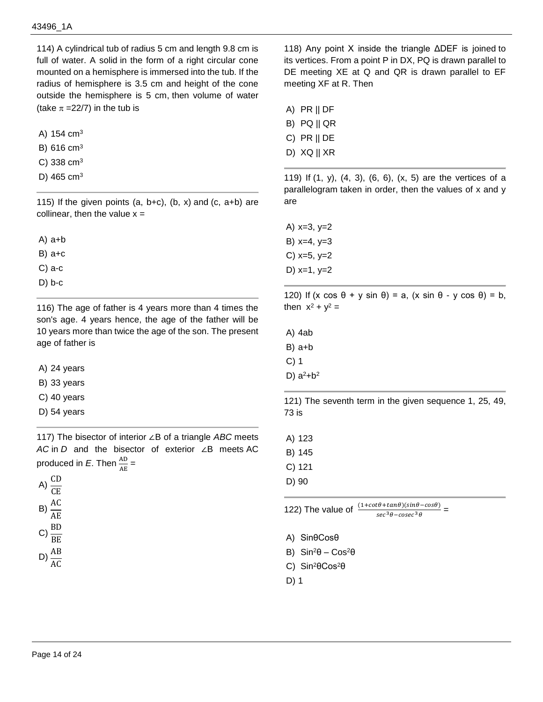114) A cylindrical tub of radius 5 cm and length 9.8 cm is full of water. A solid in the form of a right circular cone mounted on a hemisphere is immersed into the tub. If the radius of hemisphere is 3.5 cm and height of the cone outside the hemisphere is 5 cm, then volume of water (take  $\pi = 22/7$ ) in the tub is

A) 154 cm<sup>3</sup>

- B) 616 cm<sup>3</sup>
- C) 338 cm<sup>3</sup>
- D) 465 cm<sup>3</sup>

115) If the given points  $(a, b+c)$ ,  $(b, x)$  and  $(c, a+b)$  are collinear, then the value  $x =$ 

A) a+b

B) a+c

C) a-c

D) b-c

116) The age of father is 4 years more than 4 times the son's age. 4 years hence, the age of the father will be 10 years more than twice the age of the son. The present age of father is

A) 24 years

- B) 33 years
- C) 40 years
- D) 54 years

117) The bisector of interior ∠B of a triangle *ABC* meets *AC* in *D* and the bisector of exterior ∠B meets AC produced in  $E$ . Then  $\frac{AD}{AE}$  =



118) Any point X inside the triangle ΔDEF is joined to its vertices. From a point P in DX, PQ is drawn parallel to DE meeting XE at Q and QR is drawn parallel to EF meeting XF at R. Then

- A) PR || DF
- B) PQ || QR

C) PR || DE

D) XQ || XR

119) If (1, y), (4, 3), (6, 6), (x, 5) are the vertices of a parallelogram taken in order, then the values of x and y are

A)  $x=3, y=2$ B) x=4, y=3 C)  $x=5, y=2$ D)  $x=1, y=2$ 

120) If  $(x cos θ + y sin θ) = a$ ,  $(x sin θ - y cos θ) = b$ , then  $x^2 + y^2 =$ 

A) 4ab

- B) a+b
- C) 1
- D)  $a^2 + b^2$

121) The seventh term in the given sequence 1, 25, 49, 73 is

A) 123

B) 145

- C) 121
- D) 90

122) The value of  $\frac{(1+cot\theta+tan\theta)(sin\theta-cos\theta)}{sec^3\theta-cosec^3\theta}$  =

- A) SinθCosθ
- B)  $Sin^2θ Cos^2θ$
- C) Sin<sup>2</sup>θCos<sup>2</sup>θ
- D) 1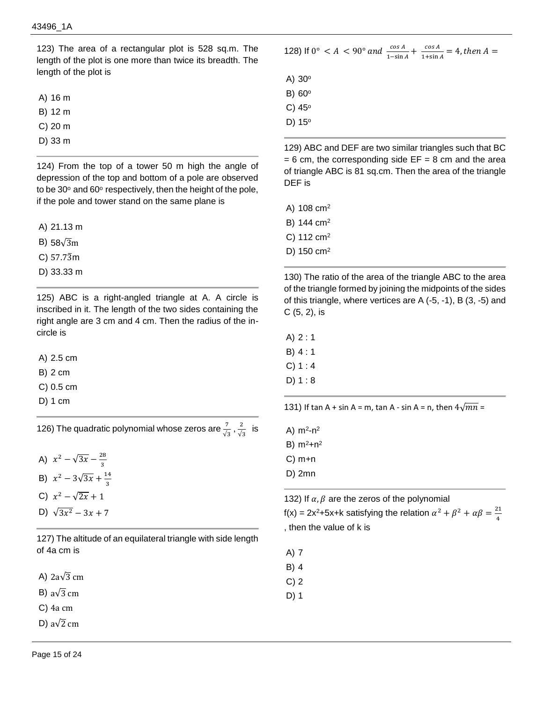123) The area of a rectangular plot is 528 sq.m. The length of the plot is one more than twice its breadth. The length of the plot is

A) 16 m

B) 12 m

C) 20 m

D) 33 m

124) From the top of a tower 50 m high the angle of depression of the top and bottom of a pole are observed to be  $30^{\circ}$  and  $60^{\circ}$  respectively, then the height of the pole, if the pole and tower stand on the same plane is

A) 21.13 m

B) 58√3m

C) 57.73̅m

D) 33.33 m

125) ABC is a right-angled triangle at A. A circle is inscribed in it. The length of the two sides containing the right angle are 3 cm and 4 cm. Then the radius of the incircle is

A) 2.5 cm

B) 2 cm

- C) 0.5 cm
- D) 1 cm

126) The quadratic polynomial whose zeros are  $\frac{7}{\sqrt{3}}$  ,  $\frac{2}{\sqrt{3}}$  $rac{2}{\sqrt{3}}$  is

A)  $x^2 - \sqrt{3x} - \frac{28}{x}$ 3 B)  $x^2 - 3\sqrt{3x} + \frac{14}{x^2}$ 3 C)  $x^2 - \sqrt{2x} + 1$ D)  $\sqrt{3x^2} - 3x + 7$ 

127) The altitude of an equilateral triangle with side length of 4a cm is

A)  $2a\sqrt{3}$  cm

B) a $\sqrt{3}$  cm

C) 4a cm

D) a $\sqrt{2}$  cm

128) If  $0^{\circ} < A < 90^{\circ}$  and  $\frac{\cos A}{1-\sin A} + \frac{\cos A}{1+\sin A}$  $\frac{\cos A}{1+\sin A} = 4$ , then  $A =$ 

A)  $30^\circ$ B)  $60^\circ$ 

C)  $45^\circ$ 

D) 15°

129) ABC and DEF are two similar triangles such that BC  $= 6$  cm, the corresponding side EF  $= 8$  cm and the area of triangle ABC is 81 sq.cm. Then the area of the triangle DEF is

A) 108 cm<sup>2</sup>

B) 144 cm<sup>2</sup>

C) 112 cm<sup>2</sup>

D) 150 cm<sup>2</sup>

130) The ratio of the area of the triangle ABC to the area of the triangle formed by joining the midpoints of the sides of this triangle, where vertices are A (-5, -1), B (3, -5) and C (5, 2), is

A) 2 : 1

B) 4 : 1

 $C) 1 : 4$ 

D) 1 : 8

131) If tan A + sin A = m, tan A - sin A = n, then  $4\sqrt{mn}$  =

A)  $m^2 - n^2$ 

B)  $m^2 + n^2$ 

C) m+n

D) 2mn

132) If  $\alpha$ ,  $\beta$  are the zeros of the polynomial

 $f(x) = 2x^2+5x+k$  satisfying the relation  $\alpha^2 + \beta^2 + \alpha \beta = \frac{21}{4}$ 4 , then the value of k is

A) 7

B) 4

C) 2

D) 1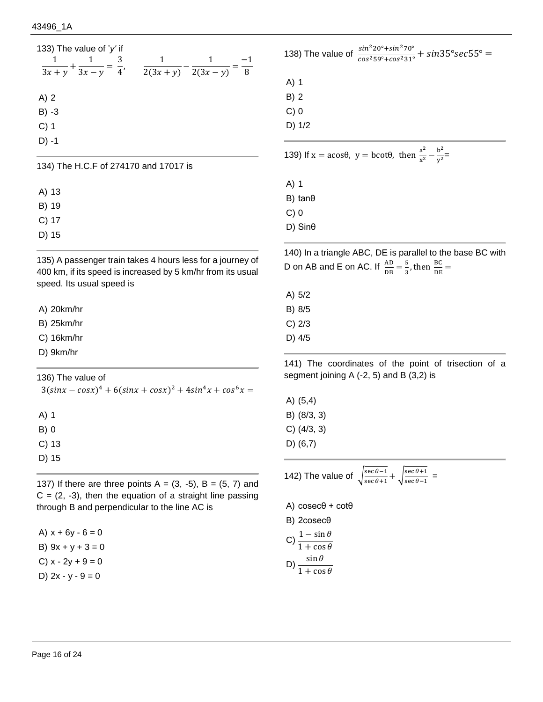| 133) The value of 'y' if<br>3<br>$\frac{1}{3x+y} + \frac{1}{3x-y} = \frac{1}{4}$ | 1 | 1<br>$2(3x + y)$ $2(3x - y)$ | 8 |
|----------------------------------------------------------------------------------|---|------------------------------|---|
| $A)$ 2                                                                           |   |                              |   |
| $B) -3$                                                                          |   |                              |   |
| $C)$ 1                                                                           |   |                              |   |
| $D) -1$                                                                          |   |                              |   |
|                                                                                  |   |                              |   |

134) The H.C.F of 274170 and 17017 is

A) 13

B) 19

C) 17

D) 15

135) A passenger train takes 4 hours less for a journey of 400 km, if its speed is increased by 5 km/hr from its usual speed. Its usual speed is

A) 20km/hr

B) 25km/hr

C) 16km/hr

D) 9km/hr

136) The value of

 $3(sin x - cos x)^4 + 6(sin x + cos x)^2 + 4sin^4 x + cos^6 x =$ 

A) 1

B) 0

C) 13

D) 15

137) If there are three points  $A = (3, -5)$ ,  $B = (5, 7)$  and  $C = (2, -3)$ , then the equation of a straight line passing through B and perpendicular to the line AC is

A)  $x + 6y - 6 = 0$ B)  $9x + y + 3 = 0$ C)  $x - 2y + 9 = 0$ D)  $2x - y - 9 = 0$ 

138) The value of  $\frac{\sin^2 20^\circ + \sin^2 70^\circ}{\cos^2 59^\circ + \cos^2 31^\circ} + \sin 35^\circ \sec 55^\circ =$ A) 1 B) 2 C) 0 D) 1/2 139) If  $x = a\cos\theta$ ,  $y = b\cot\theta$ , then  $\frac{a^2}{a^2}$  $\frac{a^2}{x^2} - \frac{b^2}{y^2}$  $\frac{v}{y^2}$ = A) 1 B) tanθ C) 0 D) Sinθ

140) In a triangle ABC, DE is parallel to the base BC with D on AB and E on AC. If  $\frac{AD}{DB} = \frac{5}{3}$  $\frac{5}{3}$ , then  $\frac{BC}{DE}$  =

| A) 5/2 |  |
|--------|--|
| B) 8/5 |  |
| C) 2/3 |  |

D) 4/5

141) The coordinates of the point of trisection of a segment joining A (-2, 5) and B (3,2) is

A) (5,4) B) (8/3, 3) C) (4/3, 3) D) (6,7)

142) The value of  $\int_{\frac{\sec \theta - 1}{\csc \theta + 1}}^{\sec \theta - 1}$  $\frac{\sec \theta - 1}{\sec \theta + 1} + \sqrt{\frac{\sec \theta + 1}{\sec \theta - 1}}$  $\frac{\sec \theta + 1}{\sec \theta - 1}$  = A) cosecθ + cotθ B) 2cosecθ C)  $\frac{1-\sin\theta}{1+\cos\theta}$ D)  $\frac{\sin \theta}{1 + \cos \theta}$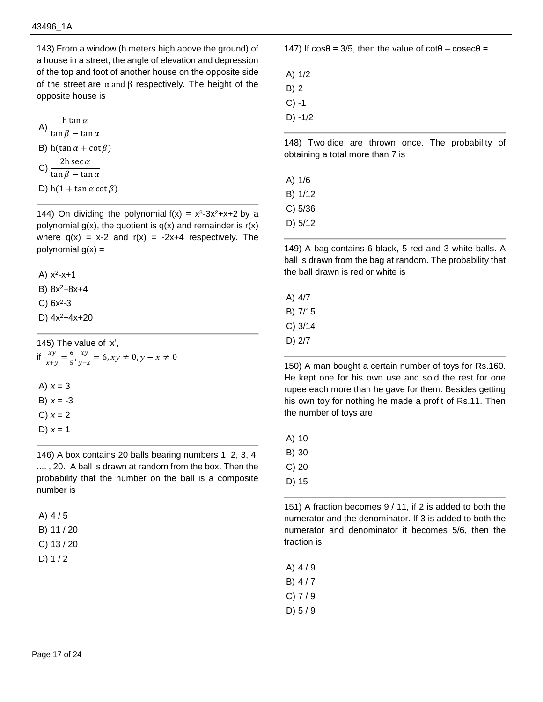143) From a window (h meters high above the ground) of a house in a street, the angle of elevation and depression of the top and foot of another house on the opposite side of the street are  $\alpha$  and  $\beta$  respectively. The height of the opposite house is

A) 
$$
\frac{h \tan \alpha}{\tan \beta - \tan \alpha}
$$
  
B) 
$$
h(\tan \alpha + \cot \beta)
$$
  
C) 
$$
\frac{2h \sec \alpha}{\tan \beta - \tan \alpha}
$$
  
D) 
$$
h(1 + \tan \alpha \cot \beta)
$$

D) h(1 + tan  $\alpha$  cot  $\beta$ )

144) On dividing the polynomial  $f(x) = x^3-3x^2+x+2$  by a polynomial  $g(x)$ , the quotient is  $q(x)$  and remainder is  $r(x)$ where  $q(x) = x-2$  and  $r(x) = -2x+4$  respectively. The polynomial  $g(x) =$ 

A)  $x^2 - x + 1$ 

B)  $8x^2+8x+4$ 

- $C)$  6x<sup>2</sup>-3
- D)  $4x^2+4x+20$

145) The value of *'*x', if  $\frac{xy}{x+y} = \frac{6}{5}$  $\frac{6}{5}, \frac{xy}{y-z}$  $\frac{xy}{y-x} = 6$ ,  $xy \neq 0$ ,  $y - x \neq 0$ A)  $x = 3$ B) *x* = -3  $C) x = 2$ D) *x* = 1

146) A box contains 20 balls bearing numbers 1, 2, 3, 4, .... , 20. A ball is drawn at random from the box. Then the probability that the number on the ball is a composite number is

| A) $4/5$     |            |
|--------------|------------|
|              | B) 11 / 20 |
|              | C) 13 / 20 |
| $\mathbf{E}$ |            |

D)  $1/2$ 

147) If  $cos θ = 3/5$ , then the value of  $cot θ - cosec θ =$ 

A) 1/2 B) 2  $C) -1$ D) -1/2

148) Two dice are thrown once. The probability of obtaining a total more than 7 is

A) 1/6

B) 1/12

- C) 5/36
- D) 5/12

149) A bag contains 6 black, 5 red and 3 white balls. A ball is drawn from the bag at random. The probability that the ball drawn is red or white is

A) 4/7

B) 7/15

- C) 3/14
- D) 2/7

150) A man bought a certain number of toys for Rs.160. He kept one for his own use and sold the rest for one rupee each more than he gave for them. Besides getting his own toy for nothing he made a profit of Rs.11. Then the number of toys are

A) 10

B) 30

- C) 20
- D) 15

151) A fraction becomes 9 / 11, if 2 is added to both the numerator and the denominator. If 3 is added to both the numerator and denominator it becomes 5/6, then the fraction is

- A) 4 / 9
- B) 4 / 7
- C) 7 / 9
- D) 5 / 9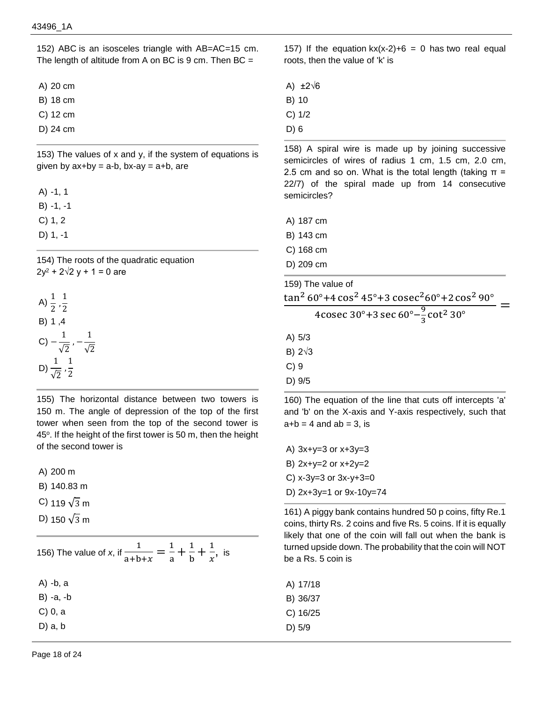152) ABC is an isosceles triangle with AB=AC=15 cm. The length of altitude from A on BC is  $9 \text{ cm}$ . Then BC =

A) 20 cm

B) 18 cm

- C) 12 cm
- D) 24 cm

153) The values of x and y, if the system of equations is given by  $ax+by = a-b$ ,  $bx-ay = a+b$ , are

A) -1, 1

- B) -1, -1
- C) 1, 2
- D) 1, -1

154) The roots of the quadratic equation  $2y^2$  + 2 $\sqrt{2}$  y + 1 = 0 are

A) 
$$
\frac{1}{2}, \frac{1}{2}
$$
  
\nB) 1, 4  
\nC)  $-\frac{1}{\sqrt{2}}, -\frac{1}{\sqrt{2}}$   
\nD)  $\frac{1}{\sqrt{2}}, \frac{1}{2}$ 

155) The horizontal distance between two towers is 150 m. The angle of depression of the top of the first tower when seen from the top of the second tower is 45<sup>o</sup>. If the height of the first tower is 50 m, then the height of the second tower is

A) 200 m

B) 140.83 m

- C) 119  $\sqrt{3}$  m
- D) 150  $\sqrt{3}$  m

156) The value of *x*, if  $\frac{1}{\sqrt{1}}$  $\frac{1}{a+b+x} = \frac{1}{a}$  $\frac{1}{a} + \frac{1}{b}$  $\frac{1}{b} + \frac{1}{x}$  $\frac{1}{x}$ , is A) -b, a B) -a, -b C) 0, a D) a, b

157) If the equation  $kx(x-2)+6 = 0$  has two real equal roots, then the value of 'k' is

- A) ±2√6
- B) 10
- C) 1/2
- D) 6

158) A spiral wire is made up by joining successive semicircles of wires of radius 1 cm, 1.5 cm, 2.0 cm, 2.5 cm and so on. What is the total length (taking  $\pi$  = 22/7) of the spiral made up from 14 consecutive semicircles?

- A) 187 cm
- B) 143 cm
- C) 168 cm
- D) 209 cm
- 159) The value of

$$
\frac{\tan^2 60^\circ + 4 \cos^2 45^\circ + 3 \csc^2 60^\circ + 2 \cos^2 90^\circ}{\cos^2 90^\circ} =
$$

4cosec 30°+3 sec 60°
$$
-\frac{9}{3}
$$
cot<sup>2</sup> 30°

- A) 5/3
- B) 2√3
- C) 9
- D) 9/5

160) The equation of the line that cuts off intercepts 'a' and 'b' on the X-axis and Y-axis respectively, such that  $a+b = 4$  and  $ab = 3$ , is

- A)  $3x+y=3$  or  $x+3y=3$ B) 2x+y=2 or x+2y=2
- C) x-3y=3 or 3x-y+3=0
- D) 2x+3y=1 or 9x-10y=74

161) A piggy bank contains hundred 50 p coins, fifty Re.1 coins, thirty Rs. 2 coins and five Rs. 5 coins. If it is equally likely that one of the coin will fall out when the bank is turned upside down. The probability that the coin will NOT be a Rs. 5 coin is

A) 17/18 B) 36/37 C) 16/25 D) 5/9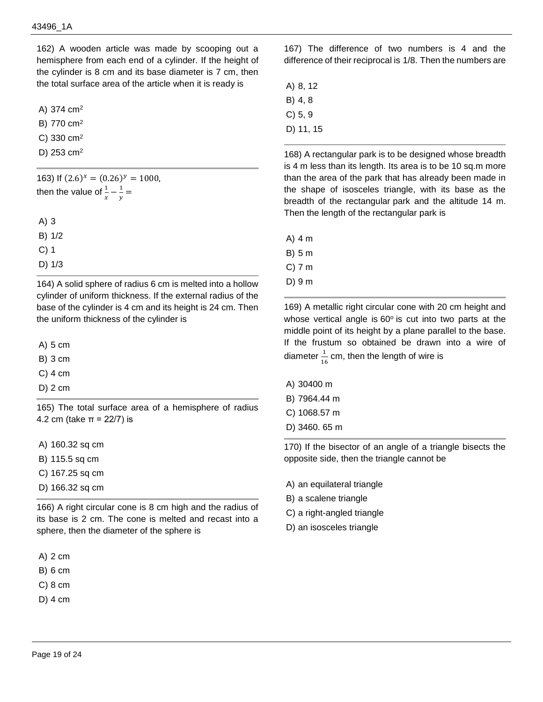162) A wooden article was made by scooping out a hemisphere from each end of a cylinder. If the height of the cylinder is 8 cm and its base diameter is 7 cm, then the total surface area of the article when it is ready is

A) 374 cm<sup>2</sup>

- B) 770 cm<sup>2</sup>
- C) 330 cm<sup>2</sup>
- D) 253 cm<sup>2</sup>

163) If  $(2.6)^x = (0.26)^y = 1000$ , then the value of  $\frac{1}{x} - \frac{1}{y}$  $\frac{1}{y}$  = A) 3 B) 1/2 C) 1 D) 1/3

164) A solid sphere of radius 6 cm is melted into a hollow cylinder of uniform thickness. If the external radius of the base of the cylinder is 4 cm and its height is 24 cm. Then the uniform thickness of the cylinder is

A) 5 cm

B) 3 cm

C) 4 cm

D) 2 cm

165) The total surface area of a hemisphere of radius 4.2 cm (take  $π = 22/7$ ) is

A) 160.32 sq cm

- B) 115.5 sq cm
- C) 167.25 sq cm
- D) 166.32 sq cm

166) A right circular cone is 8 cm high and the radius of its base is 2 cm. The cone is melted and recast into a sphere, then the diameter of the sphere is

A) 2 cm

- B) 6 cm
- C) 8 cm
- D) 4 cm

167) The difference of two numbers is 4 and the difference of their reciprocal is 1/8. Then the numbers are

- A) 8, 12 B) 4, 8 C) 5, 9
- D) 11, 15

168) A rectangular park is to be designed whose breadth is 4 m less than its length. Its area is to be 10 sq.m more than the area of the park that has already been made in the shape of isosceles triangle, with its base as the breadth of the rectangular park and the altitude 14 m. Then the length of the rectangular park is

A) 4 m

B) 5 m

- C) 7 m
- D) 9 m

169) A metallic right circular cone with 20 cm height and whose vertical angle is  $60^\circ$  is cut into two parts at the middle point of its height by a plane parallel to the base. If the frustum so obtained be drawn into a wire of diameter  $\frac{1}{16}$  cm, then the length of wire is

- A) 30400 m
- B) 7964.44 m
- C) 1068.57 m
- D) 3460. 65 m

170) If the bisector of an angle of a triangle bisects the opposite side, then the triangle cannot be

- A) an equilateral triangle
- B) a scalene triangle
- C) a right-angled triangle
- D) an isosceles triangle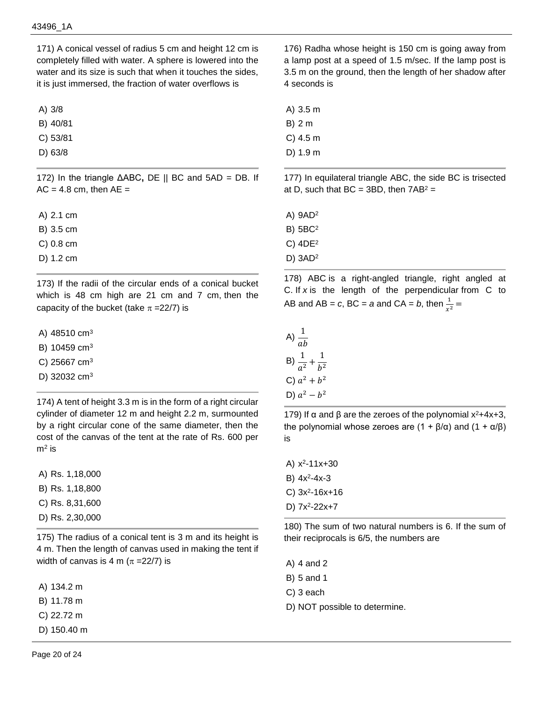171) A conical vessel of radius 5 cm and height 12 cm is completely filled with water. A sphere is lowered into the water and its size is such that when it touches the sides, it is just immersed, the fraction of water overflows is

A) 3/8

B) 40/81

C) 53/81

D) 63/8

172) In the triangle ΔABC**,** DE || BC and 5AD = DB. If  $AC = 4.8$  cm, then  $AE =$ 

A) 2.1 cm

B) 3.5 cm

C) 0.8 cm

D) 1.2 cm

173) If the radii of the circular ends of a conical bucket which is 48 cm high are 21 cm and 7 cm, then the capacity of the bucket (take  $\pi = 22/7$ ) is

A) 48510 cm<sup>3</sup>

B)  $10459 \text{ cm}^3$ 

C) 25667  $cm<sup>3</sup>$ 

D)  $32032 \text{ cm}^3$ 

174) A tent of height 3.3 m is in the form of a right circular cylinder of diameter 12 m and height 2.2 m, surmounted by a right circular cone of the same diameter, then the cost of the canvas of the tent at the rate of Rs. 600 per  $m<sup>2</sup>$  is

A) Rs. 1,18,000

B) Rs. 1,18,800

- C) Rs. 8,31,600
- D) Rs. 2,30,000

175) The radius of a conical tent is 3 m and its height is 4 m. Then the length of canvas used in making the tent if width of canvas is 4 m ( $\pi$  =22/7) is

A) 134.2 m

B) 11.78 m

C) 22.72 m

D) 150.40 m

176) Radha whose height is 150 cm is going away from a lamp post at a speed of 1.5 m/sec. If the lamp post is 3.5 m on the ground, then the length of her shadow after 4 seconds is

A) 3.5 m

B) 2 m

C) 4.5 m

D) 1.9 m

177) In equilateral triangle ABC, the side BC is trisected at D, such that  $BC = 3BD$ , then  $7AB^2 =$ 

A) 9AD<sup>2</sup>

B) 5BC<sup>2</sup>

C) 4DE<sup>2</sup>

D) 3AD<sup>2</sup>

178) ABC is a right-angled triangle, right angled at C. If *x* is the length of the perpendicular from C to AB and AB =  $c$ , BC =  $a$  and CA =  $b$ , then  $\frac{1}{x^2}$  =

| A) $\frac{1}{ }$ | $\overline{ab}$                    |  |
|------------------|------------------------------------|--|
|                  | B) $\frac{1}{a^2} + \frac{1}{b^2}$ |  |
|                  | C) $a^2 + b^2$                     |  |
|                  | D) $a^2 - b^2$                     |  |

179) If  $\alpha$  and  $\beta$  are the zeroes of the polynomial x<sup>2</sup>+4x+3, the polynomial whose zeroes are  $(1 + \beta/\alpha)$  and  $(1 + \alpha/\beta)$ is

A) x<sup>2</sup>-11x+30 B)  $4x^2-4x-3$  $C)$  3x<sup>2</sup>-16x+16 D)  $7x^2 - 22x + 7$ 

180) The sum of two natural numbers is 6. If the sum of their reciprocals is 6/5, the numbers are

A) 4 and 2

B) 5 and 1

- C) 3 each
- D) NOT possible to determine.